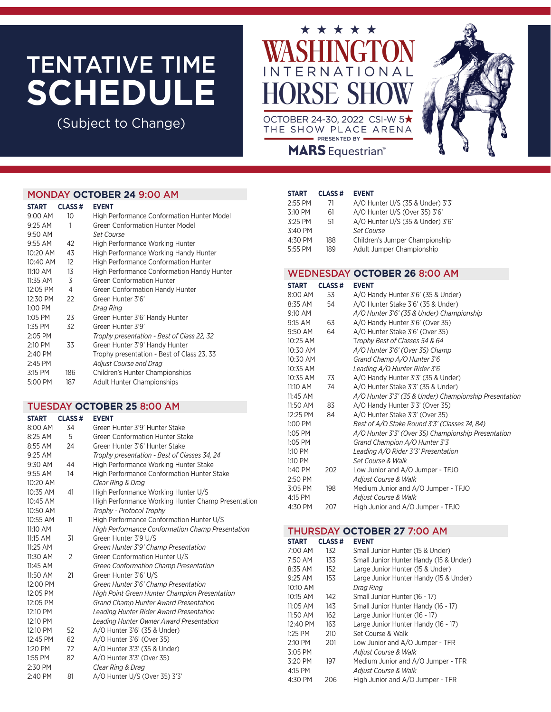# TENTATIVE TIME **SCHEDULE**

(Subject to Change)



THE SHOW PLACE ARENA PRESENTED BY **MARS** Equestrian<sup>®</sup>



## MONDAY **OCTOBER 24** 9:00 AM

| <b>START</b> | <b>CLASS#</b> | <b>EVENT</b>                                      |
|--------------|---------------|---------------------------------------------------|
| $9:00$ AM    | 10            | High Performance Conformation Hunter Model        |
| $9:25$ AM    | 1             | <b>Green Conformation Hunter Model</b>            |
| 9:50 AM      |               | Set Course                                        |
| $9:55$ AM    | 42            | <b>High Performance Working Hunter</b>            |
| 10:20 AM     | 43            | High Performance Working Handy Hunter             |
| 10:40 AM     | 12            | <b>High Performance Conformation Hunter</b>       |
| $11:10$ AM   | 13            | <b>High Performance Conformation Handy Hunter</b> |
| 11:35 AM     | 3             | <b>Green Conformation Hunter</b>                  |
| 12:05 PM     | 4             | Green Conformation Handy Hunter                   |
| 12:30 PM     | 22            | Green Hunter 3'6'                                 |
| 1:00 PM      |               | Drag Ring                                         |
| 1:05 PM      | 23            | Green Hunter 3'6' Handy Hunter                    |
| 1:35 PM      | 32            | Green Hunter 3'9'                                 |
| 2:05 PM      |               | Trophy presentation - Best of Class 22, 32        |
| 2:10 PM      | 33            | Green Hunter 3'9' Handy Hunter                    |
| 2:40 PM      |               | Trophy presentation - Best of Class 23, 33        |
| $2:45$ PM    |               | Adjust Course and Drag                            |
| 3:15 PM      | 186           | Children's Hunter Championships                   |
| 5:00 PM      | 187           | <b>Adult Hunter Championships</b>                 |
|              |               |                                                   |

### TUESDAY **OCTOBER 25** 8:00 AM

| <b>START</b> | <b>CLASS#</b>  | <b>EVENT</b>                                            |
|--------------|----------------|---------------------------------------------------------|
| 8:00 AM      | 34             | Green Hunter 3'9' Hunter Stake                          |
| 8:25 AM      | 5              | Green Conformation Hunter Stake                         |
| 8:55 AM      | 24             | Green Hunter 3'6' Hunter Stake                          |
| 9:25 AM      |                | Trophy presentation - Best of Classes 34, 24            |
| 9:30 AM      | 44             | High Performance Working Hunter Stake                   |
| $9:55$ AM    | 14             | <b>High Performance Conformation Hunter Stake</b>       |
| 10:20 AM     |                | Clear Ring & Drag                                       |
| 10:35 AM     | 41             | High Performance Working Hunter U/S                     |
| 10:45 AM     |                | High Performance Working Hunter Champ Presentation      |
| 10:50 AM     |                | Trophy - Protocol Trophy                                |
| 10:55 AM     | 11             | High Performance Conformation Hunter U/S                |
| 11:10 AM     |                | <b>High Performance Conformation Champ Presentation</b> |
| 11:15 AM     | 31             | Green Hunter 3'9 U/S                                    |
| $11:25$ AM   |                | Green Hunter 3'9' Champ Presentation                    |
| 11:30 AM     | $\overline{2}$ | Green Conformation Hunter U/S                           |
| 11:45 AM     |                | Green Conformation Champ Presentation                   |
| 11:50 AM     | 21             | Green Hunter 3'6' U/S                                   |
| 12:00 PM     |                | Green Hunter 3'6' Champ Presentation                    |
| 12:05 PM     |                | <b>High Point Green Hunter Champion Presentation</b>    |
| 12:05 PM     |                | <b>Grand Champ Hunter Award Presentation</b>            |
| 12:10 PM     |                | Leading Hunter Rider Award Presentation                 |
| 12:10 PM     |                | Leading Hunter Owner Award Presentation                 |
| 12:10 PM     | 52             | A/O Hunter 3'6' (35 & Under)                            |
| 12:45 PM     | 62             | A/O Hunter 3'6' (Over 35)                               |
| 1:20 PM      | 72             | A/O Hunter 3'3' (35 & Under)                            |
| 1:55 PM      | 82             | A/O Hunter 3'3' (Over 35)                               |
| 2:30 PM      |                | Clear Ring & Drag                                       |
| 2:40 PM      | 81             | A/O Hunter U/S (Over 35) 3'3'                           |

#### **START CLASS # EVENT**

| 2:55 PM | 71  | A/O Hunter U/S (35 & Under) 3'3' |
|---------|-----|----------------------------------|
| 3:10 PM | 61  | A/O Hunter U/S (Over 35) 3'6'    |
| 3:25 PM | 51  | A/O Hunter U/S (35 & Under) 3'6' |
| 3:40 PM |     | Set Course                       |
| 4:30 PM | 188 | Children's Jumper Championship   |
| 5:55 PM | 189 | Adult Jumper Championship        |

## WEDNESDAY **OCTOBER 26** 8:00 AM

| START    | <b>CLASS#</b> | <b>EVENT</b>                                           |
|----------|---------------|--------------------------------------------------------|
| 8:00 AM  | 53            | A/O Handy Hunter 3'6' (35 & Under)                     |
| 8:35 AM  | 54            | A/O Hunter Stake 3'6' (35 & Under)                     |
| 9:10 AM  |               | A/O Hunter 3'6' (35 & Under) Championship              |
| 9:15 AM  | 63            | A/O Handy Hunter 3'6' (Over 35)                        |
| 9:50 AM  | 64            | A/O Hunter Stake 3'6' (Over 35)                        |
| 10:25 AM |               | Trophy Best of Classes 54 & 64                         |
| 10:30 AM |               | A/O Hunter 3'6' (Over 35) Champ                        |
| 10:30 AM |               | Grand Champ A/O Hunter 3'6                             |
| 10:35 AM |               | Leading A/O Hunter Rider 3'6                           |
| 10:35 AM | 73            | A/O Handy Hunter 3'3' (35 & Under)                     |
| 11:10 AM | 74            | A/O Hunter Stake 3'3' (35 & Under)                     |
| 11:45 AM |               | A/O Hunter 3'3' (35 & Under) Championship Presentation |
| 11:50 AM | 83            | A/O Handy Hunter 3'3' (Over 35)                        |
| 12:25 PM | 84            | A/O Hunter Stake 3'3' (Over 35)                        |
| 1:00 PM  |               | Best of A/O Stake Round 3'3' (Classes 74, 84)          |
| 1:05 PM  |               | A/O Hunter 3'3' (Over 35) Championship Presentation    |
| 1:05 PM  |               | Grand Champion A/O Hunter 3'3                          |
| 1:10 PM  |               | Leading A/O Rider 3'3' Presentation                    |
| 1:10 PM  |               | <b>Set Course &amp; Walk</b>                           |
| 1:40 PM  | 202           | Low Junior and A/O Jumper - TFJO                       |
| 2:50 PM  |               | Adjust Course & Walk                                   |
| 3:05 PM  | 198           | Medium Junior and A/O Jumper - TFJO                    |
| 4:15 PM  |               | Adjust Course & Walk                                   |
| 4:30 PM  | 207           | High Junior and A/O Jumper - TFJO                      |

## THURSDAY **OCTOBER 27** 7:00 AM

| <b>START</b> | <b>CLASS#</b> | <b>EVENT</b>                           |
|--------------|---------------|----------------------------------------|
| 7:00 AM      | 132           | Small Junior Hunter (15 & Under)       |
| 7:50 AM      | 133           | Small Junior Hunter Handy (15 & Under) |
| 8:35 AM      | 152           | Large Junior Hunter (15 & Under)       |
| 9:25 AM      | 153           | Large Junior Hunter Handy (15 & Under) |
| 10:10 AM     |               | Drag Ring                              |
| 10:15 AM     | 142           | Small Junior Hunter (16 - 17)          |
| 11:05 AM     | 143           | Small Junior Hunter Handy (16 - 17)    |
| 11:50 AM     | 162           | Large Junior Hunter (16 - 17)          |
| 12:40 PM     | 163           | Large Junior Hunter Handy (16 - 17)    |
| 1:25 PM      | 210           | Set Course & Walk                      |
| 2:10 PM      | 201           | Low Junior and A/O Jumper - TFR        |
| 3:05 PM      |               | Adjust Course & Walk                   |
| 3:20 PM      | 197           | Medium Junior and A/O Jumper - TFR     |
| 4:15 PM      |               | <b>Adiust Course &amp; Walk</b>        |
| 4:30 PM      | 206           | High Junior and A/O Jumper - TFR       |